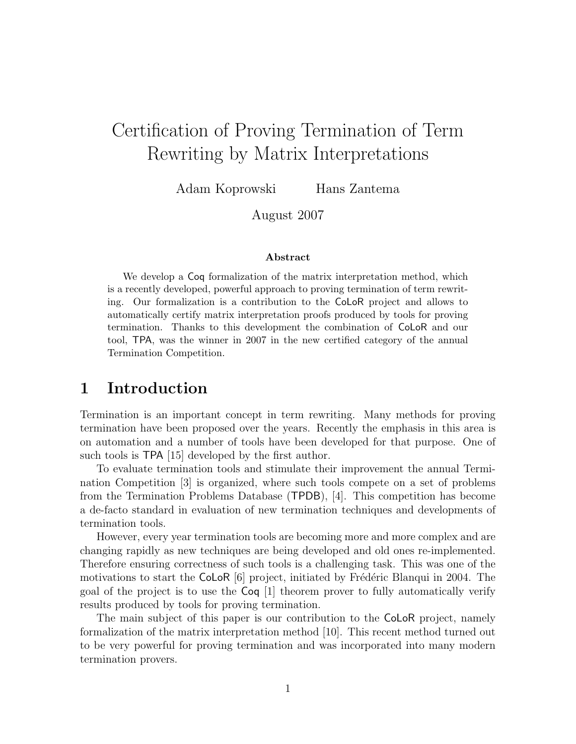# Certification of Proving Termination of Term Rewriting by Matrix Interpretations

Adam Koprowski Hans Zantema

August 2007

#### Abstract

We develop a  $\text{Coq}$  formalization of the matrix interpretation method, which is a recently developed, powerful approach to proving termination of term rewriting. Our formalization is a contribution to the CoLoR project and allows to automatically certify matrix interpretation proofs produced by tools for proving termination. Thanks to this development the combination of CoLoR and our tool, TPA, was the winner in 2007 in the new certified category of the annual Termination Competition.

### 1 Introduction

Termination is an important concept in term rewriting. Many methods for proving termination have been proposed over the years. Recently the emphasis in this area is on automation and a number of tools have been developed for that purpose. One of such tools is TPA [15] developed by the first author.

To evaluate termination tools and stimulate their improvement the annual Termination Competition [3] is organized, where such tools compete on a set of problems from the Termination Problems Database (TPDB), [4]. This competition has become a de-facto standard in evaluation of new termination techniques and developments of termination tools.

However, every year termination tools are becoming more and more complex and are changing rapidly as new techniques are being developed and old ones re-implemented. Therefore ensuring correctness of such tools is a challenging task. This was one of the motivations to start the CoLoR  $[6]$  project, initiated by Frédéric Blanqui in 2004. The goal of the project is to use the Coq [1] theorem prover to fully automatically verify results produced by tools for proving termination.

The main subject of this paper is our contribution to the CoLoR project, namely formalization of the matrix interpretation method [10]. This recent method turned out to be very powerful for proving termination and was incorporated into many modern termination provers.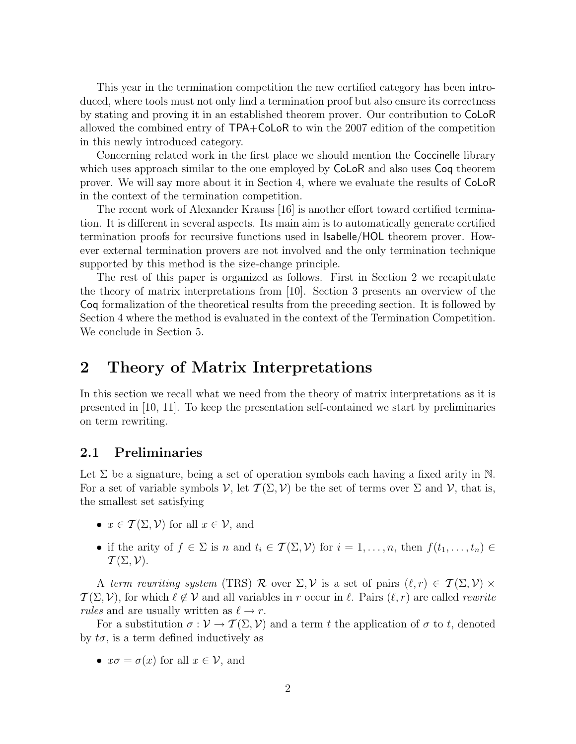This year in the termination competition the new certified category has been introduced, where tools must not only find a termination proof but also ensure its correctness by stating and proving it in an established theorem prover. Our contribution to CoLoR allowed the combined entry of TPA+CoLoR to win the 2007 edition of the competition in this newly introduced category.

Concerning related work in the first place we should mention the Coccinelle library which uses approach similar to the one employed by **CoLoR** and also uses **Coq** theorem prover. We will say more about it in Section 4, where we evaluate the results of CoLoR in the context of the termination competition.

The recent work of Alexander Krauss [16] is another effort toward certified termination. It is different in several aspects. Its main aim is to automatically generate certified termination proofs for recursive functions used in Isabelle/HOL theorem prover. However external termination provers are not involved and the only termination technique supported by this method is the size-change principle.

The rest of this paper is organized as follows. First in Section 2 we recapitulate the theory of matrix interpretations from [10]. Section 3 presents an overview of the Coq formalization of the theoretical results from the preceding section. It is followed by Section 4 where the method is evaluated in the context of the Termination Competition. We conclude in Section 5.

## 2 Theory of Matrix Interpretations

In this section we recall what we need from the theory of matrix interpretations as it is presented in [10, 11]. To keep the presentation self-contained we start by preliminaries on term rewriting.

#### 2.1 Preliminaries

Let  $\Sigma$  be a signature, being a set of operation symbols each having a fixed arity in N. For a set of variable symbols  $\mathcal V$ , let  $\mathcal T(\Sigma, \mathcal V)$  be the set of terms over  $\Sigma$  and  $\mathcal V$ , that is, the smallest set satisfying

- $x \in \mathcal{T}(\Sigma, \mathcal{V})$  for all  $x \in \mathcal{V}$ , and
- if the arity of  $f \in \Sigma$  is n and  $t_i \in \mathcal{T}(\Sigma, \mathcal{V})$  for  $i = 1, \ldots, n$ , then  $f(t_1, \ldots, t_n) \in$  $\mathcal{T}(\Sigma,\mathcal{V}).$

A term rewriting system (TRS) R over  $\Sigma, \mathcal{V}$  is a set of pairs  $(\ell, r) \in \mathcal{T}(\Sigma, \mathcal{V}) \times$  $\mathcal{T}(\Sigma, \mathcal{V})$ , for which  $\ell \notin \mathcal{V}$  and all variables in r occur in  $\ell$ . Pairs  $(\ell, r)$  are called rewrite rules and are usually written as  $\ell \to r$ .

For a substitution  $\sigma : \mathcal{V} \to \mathcal{T}(\Sigma, \mathcal{V})$  and a term t the application of  $\sigma$  to t, denoted by  $t\sigma$ , is a term defined inductively as

•  $x\sigma = \sigma(x)$  for all  $x \in \mathcal{V}$ , and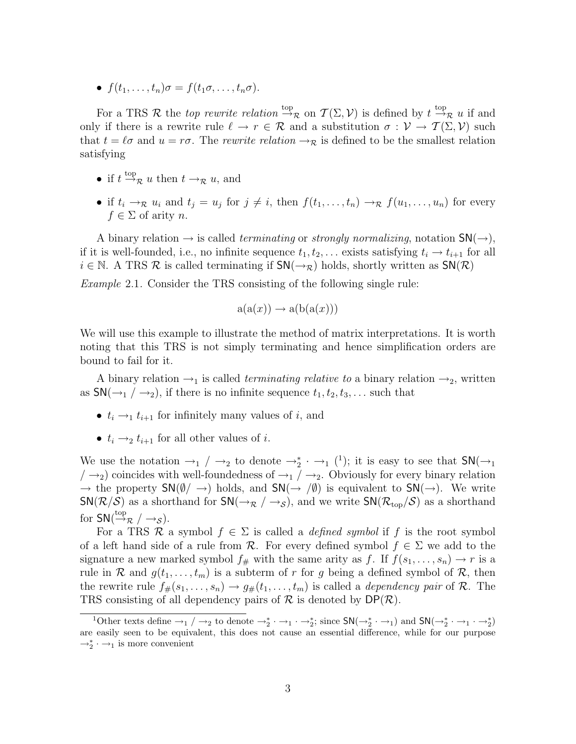•  $f(t_1, \ldots, t_n)\sigma = f(t_1\sigma, \ldots, t_n\sigma).$ 

For a TRS R the *top rewrite relation*  $\stackrel{\text{top}}{\rightarrow}_{\mathcal{R}}$  on  $\mathcal{T}(\Sigma, \mathcal{V})$  is defined by  $t \stackrel{\text{top}}{\rightarrow}_{\mathcal{R}} u$  if and only if there is a rewrite rule  $\ell \to r \in \mathcal{R}$  and a substitution  $\sigma : \mathcal{V} \to \mathcal{T}(\Sigma, \mathcal{V})$  such that  $t = \ell \sigma$  and  $u = r\sigma$ . The rewrite relation  $\rightarrow_{\mathcal{R}}$  is defined to be the smallest relation satisfying

- if  $t \stackrel{\text{top}}{\rightarrow} \mathcal{R} u$  then  $t \rightarrow \mathcal{R} u$ , and
- if  $t_i \to_{\mathcal{R}} u_i$  and  $t_j = u_j$  for  $j \neq i$ , then  $f(t_1, \ldots, t_n) \to_{\mathcal{R}} f(u_1, \ldots, u_n)$  for every  $f \in \Sigma$  of arity n.

A binary relation  $\rightarrow$  is called *terminating* or *strongly normalizing*, notation  $SN(\rightarrow)$ , if it is well-founded, i.e., no infinite sequence  $t_1, t_2, \ldots$  exists satisfying  $t_i \rightarrow t_{i+1}$  for all  $i \in \mathbb{N}$ . A TRS  $\mathcal R$  is called terminating if  $\mathsf{SN}(\rightarrow_{\mathcal{R}})$  holds, shortly written as  $\mathsf{SN}(\mathcal{R})$ 

Example 2.1. Consider the TRS consisting of the following single rule:

$$
a(a(x)) \to a(b(a(x)))
$$

We will use this example to illustrate the method of matrix interpretations. It is worth noting that this TRS is not simply terminating and hence simplification orders are bound to fail for it.

A binary relation  $\rightarrow_1$  is called *terminating relative to* a binary relation  $\rightarrow_2$ , written as  $\mathsf{SN}(\rightarrow_1/\rightarrow_2)$ , if there is no infinite sequence  $t_1, t_2, t_3, \ldots$  such that

- $t_i \rightarrow_1 t_{i+1}$  for infinitely many values of i, and
- $t_i \rightarrow_2 t_{i+1}$  for all other values of i.

We use the notation  $\rightarrow_1$  /  $\rightarrow_2$  to denote  $\rightarrow_2^*$   $\rightarrow_1$  (<sup>1</sup>); it is easy to see that  $\mathsf{SN}(\rightarrow_1)$  $/ \rightarrow_2$ ) coincides with well-foundedness of  $\rightarrow_1 / \rightarrow_2$ . Obviously for every binary relation  $\rightarrow$  the property  $\mathsf{SN}(\emptyset/\rightarrow)$  holds, and  $\mathsf{SN}(\rightarrow/\emptyset)$  is equivalent to  $\mathsf{SN}(\rightarrow)$ . We write  $SN(\mathcal{R}/\mathcal{S})$  as a shorthand for  $SN(\rightarrow_{\mathcal{R}}/\rightarrow_{\mathcal{S}})$ , and we write  $SN(\mathcal{R}_{top}/\mathcal{S})$  as a shorthand for  $SN(\stackrel{\text{top}}{\rightarrow}_{\mathcal{R}}/\rightarrow_{\mathcal{S}})$ .

For a TRS R a symbol  $f \in \Sigma$  is called a *defined symbol* if f is the root symbol of a left hand side of a rule from R. For every defined symbol  $f \in \Sigma$  we add to the signature a new marked symbol  $f_{\#}$  with the same arity as f. If  $f(s_1, \ldots, s_n) \to r$  is a rule in R and  $g(t_1, \ldots, t_m)$  is a subterm of r for g being a defined symbol of R, then the rewrite rule  $f_{\#}(s_1, \ldots, s_n) \to g_{\#}(t_1, \ldots, t_m)$  is called a *dependency pair* of R. The TRS consisting of all dependency pairs of  $\mathcal R$  is denoted by  $DP(\mathcal R)$ .

<sup>&</sup>lt;sup>1</sup>Other texts define  $\rightarrow_1$  /  $\rightarrow_2$  to denote  $\rightarrow_2^* \cdot \rightarrow_1 \cdot \rightarrow_2^*$ ; since  $SN(\rightarrow_2^* \cdot \rightarrow_1)$  and  $SN(\rightarrow_2^* \cdot \rightarrow_1 \cdot \rightarrow_2^*)$ are easily seen to be equivalent, this does not cause an essential difference, while for our purpose  $\rightarrow_2^*$  ⋅ →<sub>1</sub> is more convenient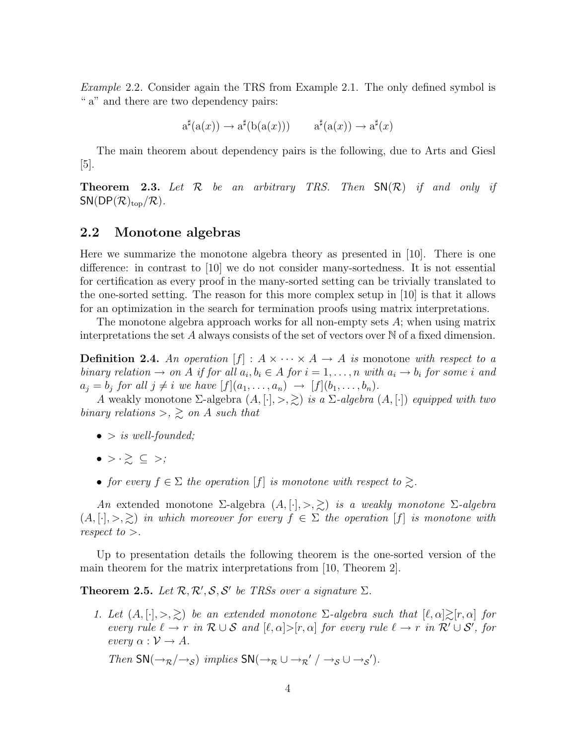Example 2.2. Consider again the TRS from Example 2.1. The only defined symbol is " a" and there are two dependency pairs:

$$
a^{\sharp}(a(x)) \to a^{\sharp}(b(a(x))) \qquad a^{\sharp}(a(x)) \to a^{\sharp}(x)
$$

The main theorem about dependency pairs is the following, due to Arts and Giesl [5].

**Theorem 2.3.** Let  $\mathcal{R}$  be an arbitrary TRS. Then  $\mathsf{SN}(\mathcal{R})$  if and only if  $SN(DP(\mathcal{R})_{top}/\mathcal{R})$ .

### 2.2 Monotone algebras

Here we summarize the monotone algebra theory as presented in [10]. There is one difference: in contrast to [10] we do not consider many-sortedness. It is not essential for certification as every proof in the many-sorted setting can be trivially translated to the one-sorted setting. The reason for this more complex setup in [10] is that it allows for an optimization in the search for termination proofs using matrix interpretations.

The monotone algebra approach works for all non-empty sets  $A$ ; when using matrix interpretations the set A always consists of the set of vectors over  $\mathbb N$  of a fixed dimension.

**Definition 2.4.** An operation  $[f] : A \times \cdots \times A \rightarrow A$  is monotone with respect to a binary relation  $\to$  on A if for all  $a_i, b_i \in A$  for  $i = 1, \ldots, n$  with  $a_i \to b_i$  for some i and  $a_j = b_j$  for all  $j \neq i$  we have  $[f](a_1, \ldots, a_n) \rightarrow [f](b_1, \ldots, b_n).$ 

A weakly monotone  $\Sigma$ -algebra  $(A, [\cdot], >, \geq)$  is a  $\Sigma$ -algebra  $(A, [\cdot])$  equipped with two binary relations  $\geq$ ,  $\geq$  on A such that

- $\bullet$  > is well-founded;
- $\bullet \rightarrow \cdot \geq \ \subseteq \ \gt;$ ;
- for every  $f \in \Sigma$  the operation  $[f]$  is monotone with respect to  $\gtrsim$ .

An extended monotone Σ-algebra  $(A, [\cdot], >, \geq)$  is a weakly monotone Σ-algebra  $(A, [\cdot], >, \geq)$  in which moreover for every  $f \in \Sigma$  the operation  $[f]$  is monotone with respect to  $>$ .

Up to presentation details the following theorem is the one-sorted version of the main theorem for the matrix interpretations from [10, Theorem 2].

**Theorem 2.5.** Let  $\mathcal{R}, \mathcal{R}', \mathcal{S}, \mathcal{S}'$  be TRSs over a signature  $\Sigma$ .

1. Let  $(A, [\cdot], >, \geq)$  be an extended monotone  $\Sigma$ -algebra such that  $[\ell, \alpha] \geq [r, \alpha]$  for every rule  $\ell \to r$  in  $\mathcal{R} \cup \mathcal{S}$  and  $[\ell, \alpha] > [r, \alpha]$  for every rule  $\ell \to r$  in  $\mathcal{R}' \cup \mathcal{S}'$ , for every  $\alpha : \mathcal{V} \to A$ .

Then  $\text{SN}(\rightarrow_R/\rightarrow_S)$  implies  $\text{SN}(\rightarrow_R \cup \rightarrow_R'/\rightarrow_S \cup \rightarrow_S')$ .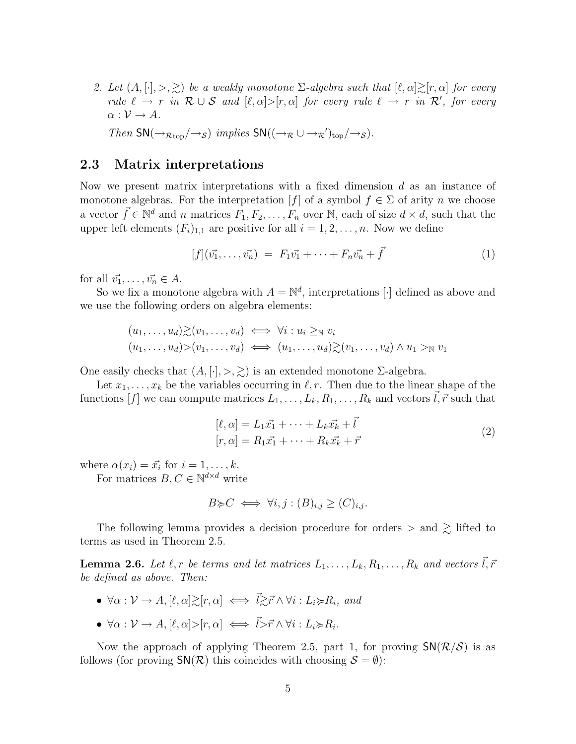2. Let  $(A, [\cdot], >, \geq)$  be a weakly monotone  $\Sigma$ -algebra such that  $[\ell, \alpha] \geq [r, \alpha]$  for every rule  $\ell \to r$  in  $\mathcal{R} \cup \mathcal{S}$  and  $[\ell, \alpha] > [r, \alpha]$  for every rule  $\ell \to r$  in  $\mathcal{R}'$ , for every  $\alpha: \mathcal{V} \to A$ .

Then  $\text{SN}(\rightarrow_{\mathcal{R}\text{top}}/\rightarrow_{\mathcal{S}})$  implies  $\text{SN}((\rightarrow_{\mathcal{R}}\cup\rightarrow_{\mathcal{R}}')_{\text{top}}/\rightarrow_{\mathcal{S}})$ .

#### 2.3 Matrix interpretations

Now we present matrix interpretations with a fixed dimension d as an instance of monotone algebras. For the interpretation  $[f]$  of a symbol  $f \in \Sigma$  of arity n we choose a vector  $\vec{f} \in \mathbb{N}^d$  and n matrices  $F_1, F_2, \ldots, F_n$  over N, each of size  $d \times d$ , such that the upper left elements  $(F_i)_{1,1}$  are positive for all  $i = 1, 2, ..., n$ . Now we define

$$
[f](\vec{v_1}, \dots, \vec{v_n}) = F_1 \vec{v_1} + \dots + F_n \vec{v_n} + \vec{f}
$$
 (1)

for all  $\vec{v_1}, \ldots, \vec{v_n} \in A$ .

So we fix a monotone algebra with  $A = \mathbb{N}^d$ , interpretations [·] defined as above and we use the following orders on algebra elements:

$$
(u_1, \ldots, u_d) \gtrsim (v_1, \ldots, v_d) \iff \forall i : u_i \geq_{\mathbb{N}} v_i
$$
  

$$
(u_1, \ldots, u_d) > (v_1, \ldots, v_d) \iff (u_1, \ldots, u_d) \gtrsim (v_1, \ldots, v_d) \land u_1 >_{\mathbb{N}} v_1
$$

One easily checks that  $(A, [\cdot], >, \geq)$  is an extended monotone  $\Sigma$ -algebra.

Let  $x_1, \ldots, x_k$  be the variables occurring in  $\ell, r$ . Then due to the linear shape of the functions  $[f]$  we can compute matrices  $L_1, \ldots, L_k, R_1, \ldots, R_k$  and vectors  $\vec{l}, \vec{r}$  such that

$$
[\ell, \alpha] = L_1 \vec{x_1} + \dots + L_k \vec{x_k} + \vec{l}
$$
  
\n
$$
[r, \alpha] = R_1 \vec{x_1} + \dots + R_k \vec{x_k} + \vec{r}
$$
\n(2)

where  $\alpha(x_i) = \vec{x_i}$  for  $i = 1, \ldots, k$ .

For matrices  $B, C \in \mathbb{N}^{d \times d}$  write

$$
B \succcurlyeq C \iff \forall i, j : (B)_{i,j} \ge (C)_{i,j}.
$$

The following lemma provides a decision procedure for orders  $>$  and  $\gtrsim$  lifted to terms as used in Theorem 2.5.

**Lemma 2.6.** Let  $\ell, r$  be terms and let matrices  $L_1, \ldots, L_k, R_1, \ldots, R_k$  and vectors  $\vec{l}, \vec{r}$ be defined as above. Then:

- $\forall \alpha : \mathcal{V} \to A, [\ell, \alpha] \geq [r, \alpha] \iff \vec{l} \geq \vec{r} \wedge \forall i : L_i \geq R_i, \text{ and}$
- $\forall \alpha : \mathcal{V} \to A, [\ell, \alpha] > [r, \alpha] \iff \vec{l} > \vec{r} \wedge \forall i : L_i \succcurlyeq R_i.$

Now the approach of applying Theorem 2.5, part 1, for proving  $SN(\mathcal{R}/\mathcal{S})$  is as follows (for proving  $\mathsf{SN}(\mathcal{R})$  this coincides with choosing  $\mathcal{S} = \emptyset$ ):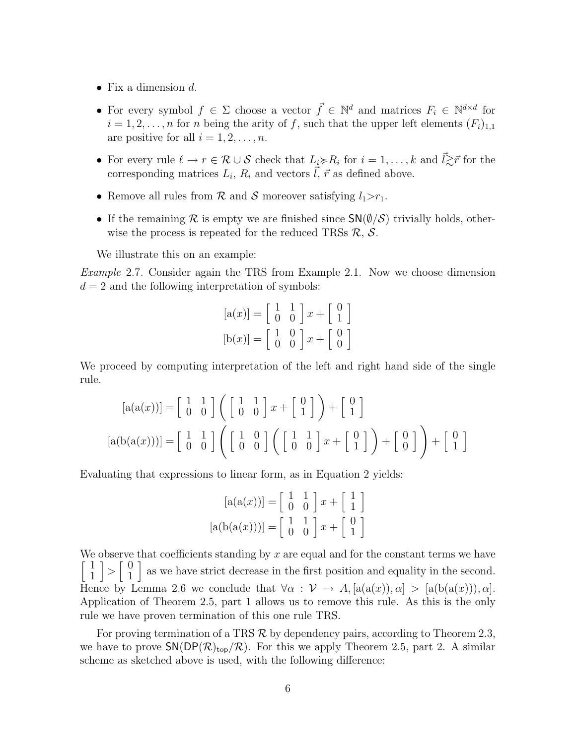- Fix a dimension  $d$ .
- For every symbol  $f \in \Sigma$  choose a vector  $\vec{f} \in \mathbb{N}^d$  and matrices  $F_i \in \mathbb{N}^{d \times d}$  for  $i = 1, 2, \ldots, n$  for n being the arity of f, such that the upper left elements  $(F_i)_{1,1}$ are positive for all  $i = 1, 2, \ldots, n$ .
- For every rule  $\ell \to r \in \mathcal{R} \cup \mathcal{S}$  check that  $L_i \succcurlyeq R_i$  for  $i = 1, \ldots, k$  and  $\vec{l} \gtrsim \vec{r}$  for the corresponding matrices  $L_i$ ,  $R_i$  and vectors  $\vec{l}, \vec{r}$  as defined above.
- Remove all rules from  $\mathcal R$  and  $\mathcal S$  moreover satisfying  $l_1>r_1$ .
- If the remaining R is empty we are finished since  $\mathsf{SN}(\emptyset/\mathcal{S})$  trivially holds, otherwise the process is repeated for the reduced TRSs  $\mathcal{R}, \mathcal{S}.$

We illustrate this on an example:

Example 2.7. Consider again the TRS from Example 2.1. Now we choose dimension  $d = 2$  and the following interpretation of symbols:

$$
[a(x)] = \begin{bmatrix} 1 & 1 \\ 0 & 0 \end{bmatrix} x + \begin{bmatrix} 0 \\ 1 \end{bmatrix}
$$

$$
[b(x)] = \begin{bmatrix} 1 & 0 \\ 0 & 0 \end{bmatrix} x + \begin{bmatrix} 0 \\ 0 \end{bmatrix}
$$

We proceed by computing interpretation of the left and right hand side of the single rule.

$$
[a(a(x))] = \begin{bmatrix} 1 & 1 \\ 0 & 0 \end{bmatrix} \left( \begin{bmatrix} 1 & 1 \\ 0 & 0 \end{bmatrix} x + \begin{bmatrix} 0 \\ 1 \end{bmatrix} \right) + \begin{bmatrix} 0 \\ 1 \end{bmatrix}
$$

$$
[a(b(a(x)))] = \begin{bmatrix} 1 & 1 \\ 0 & 0 \end{bmatrix} \left( \begin{bmatrix} 1 & 0 \\ 0 & 0 \end{bmatrix} \left( \begin{bmatrix} 1 & 1 \\ 0 & 0 \end{bmatrix} x + \begin{bmatrix} 0 \\ 1 \end{bmatrix} \right) + \begin{bmatrix} 0 \\ 0 \end{bmatrix} \right) + \begin{bmatrix} 0 \\ 1 \end{bmatrix}
$$

Evaluating that expressions to linear form, as in Equation 2 yields:

$$
[a(a(x))] = \begin{bmatrix} 1 & 1 \\ 0 & 0 \end{bmatrix} x + \begin{bmatrix} 1 \\ 1 \end{bmatrix}
$$

$$
[a(b(a(x)))] = \begin{bmatrix} 1 & 1 \\ 0 & 0 \end{bmatrix} x + \begin{bmatrix} 0 \\ 1 \end{bmatrix}
$$

We observe that coefficients standing by  $x$  are equal and for the constant terms we have  $\lceil \ \rceil$ 1  $\Big] > \Big[ \begin{array}{c} 0 \\ 1 \end{array} \Big]$ 1 as we have strict decrease in the first position and equality in the second. Hence by Lemma 2.6 we conclude that  $\forall \alpha : \mathcal{V} \to A$ ,  $[a(a(x)), \alpha] > [a(b(a(x))), \alpha]$ . Application of Theorem 2.5, part 1 allows us to remove this rule. As this is the only rule we have proven termination of this one rule TRS.

For proving termination of a TRS  $\mathcal R$  by dependency pairs, according to Theorem 2.3, we have to prove  $\mathsf{SN}(\mathsf{DP}(\mathcal{R})_{\text{top}}/\mathcal{R})$ . For this we apply Theorem 2.5, part 2. A similar scheme as sketched above is used, with the following difference: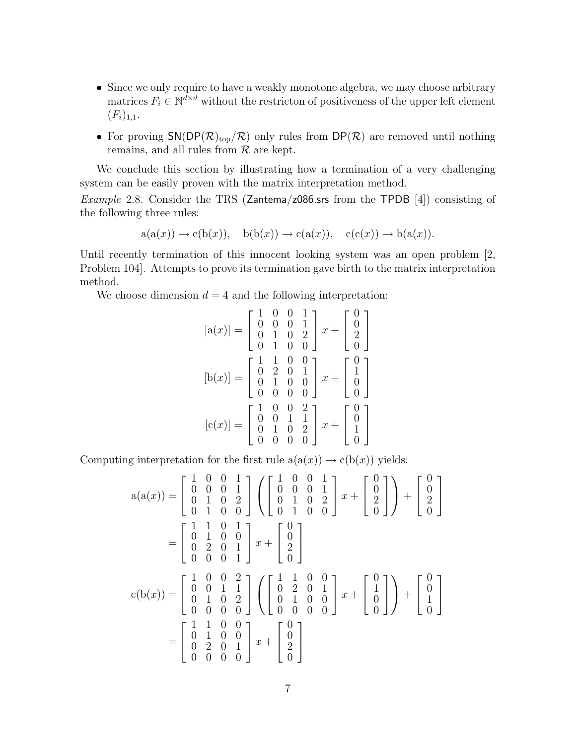- Since we only require to have a weakly monotone algebra, we may choose arbitrary matrices  $F_i \in \mathbb{N}^{d \times d}$  without the restricton of positiveness of the upper left element  $(F_i)_{1,1}.$
- For proving  $SN(DP(\mathcal{R})_{top}/\mathcal{R})$  only rules from  $DP(\mathcal{R})$  are removed until nothing remains, and all rules from  $R$  are kept.

We conclude this section by illustrating how a termination of a very challenging system can be easily proven with the matrix interpretation method.

*Example* 2.8. Consider the TRS (Zantema/z086.srs from the TPDB [4]) consisting of the following three rules:

$$
a(a(x)) \rightarrow c(b(x)), \quad b(b(x)) \rightarrow c(a(x)), \quad c(c(x)) \rightarrow b(a(x)).
$$

Until recently termination of this innocent looking system was an open problem [2, Problem 104]. Attempts to prove its termination gave birth to the matrix interpretation method.

We choose dimension  $d = 4$  and the following interpretation:

$$
[\mathbf{a}(x)] = \begin{bmatrix} 1 & 0 & 0 & 1 \\ 0 & 0 & 0 & 1 \\ 0 & 1 & 0 & 2 \\ 0 & 1 & 0 & 0 \end{bmatrix} x + \begin{bmatrix} 0 \\ 0 \\ 2 \\ 0 \end{bmatrix}
$$

$$
[\mathbf{b}(x)] = \begin{bmatrix} 1 & 1 & 0 & 0 \\ 0 & 2 & 0 & 1 \\ 0 & 1 & 0 & 0 \\ 0 & 0 & 0 & 0 \end{bmatrix} x + \begin{bmatrix} 0 \\ 1 \\ 0 \\ 0 \end{bmatrix}
$$

$$
[\mathbf{c}(x)] = \begin{bmatrix} 1 & 0 & 0 & 2 \\ 0 & 0 & 1 & 1 \\ 0 & 1 & 0 & 2 \\ 0 & 0 & 0 & 0 \end{bmatrix} x + \begin{bmatrix} 0 \\ 0 \\ 1 \\ 0 \end{bmatrix}
$$

Computing interpretation for the first rule  $a(a(x)) \rightarrow c(b(x))$  yields:

$$
a(a(x)) = \begin{bmatrix} 1 & 0 & 0 & 1 \\ 0 & 0 & 0 & 1 \\ 0 & 1 & 0 & 2 \\ 0 & 1 & 0 & 0 \end{bmatrix} \left( \begin{bmatrix} 1 & 0 & 0 & 1 \\ 0 & 0 & 0 & 1 \\ 0 & 1 & 0 & 2 \\ 0 & 1 & 0 & 0 \end{bmatrix} x + \begin{bmatrix} 0 \\ 0 \\ 2 \\ 0 \end{bmatrix} \right) + \begin{bmatrix} 0 \\ 0 \\ 2 \\ 0 \end{bmatrix}
$$
  
= 
$$
\begin{bmatrix} 1 & 1 & 0 & 1 \\ 0 & 1 & 0 & 0 \\ 0 & 2 & 0 & 1 \\ 0 & 0 & 0 & 1 \end{bmatrix} x + \begin{bmatrix} 0 \\ 0 \\ 2 \\ 0 \end{bmatrix}
$$
  
c(b(x)) = 
$$
\begin{bmatrix} 1 & 0 & 0 & 2 \\ 0 & 0 & 1 & 1 \\ 0 & 1 & 0 & 2 \\ 0 & 0 & 0 & 0 \end{bmatrix} \left( \begin{bmatrix} 1 & 1 & 0 & 0 \\ 0 & 2 & 0 & 1 \\ 0 & 1 & 0 & 0 \\ 0 & 0 & 0 & 0 \end{bmatrix} x + \begin{bmatrix} 0 \\ 1 \\ 0 \\ 0 \end{bmatrix} \right) + \begin{bmatrix} 0 \\ 0 \\ 1 \\ 0 \end{bmatrix}
$$
  
= 
$$
\begin{bmatrix} 1 & 1 & 0 & 0 \\ 0 & 1 & 0 & 0 \\ 0 & 2 & 0 & 1 \\ 0 & 0 & 0 & 0 \end{bmatrix} x + \begin{bmatrix} 0 \\ 0 \\ 2 \\ 0 \end{bmatrix}
$$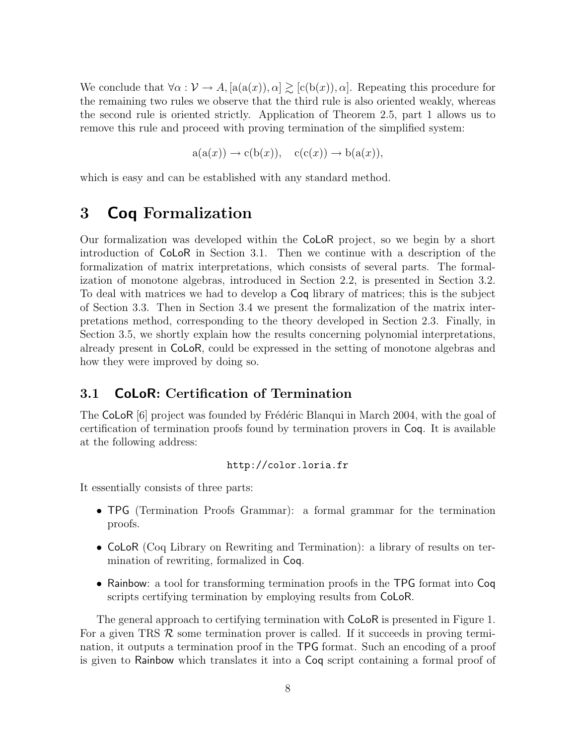We conclude that  $\forall \alpha : \mathcal{V} \to A$ ,  $[a(a(x)), \alpha] \geq [c(b(x)), \alpha]$ . Repeating this procedure for the remaining two rules we observe that the third rule is also oriented weakly, whereas the second rule is oriented strictly. Application of Theorem 2.5, part 1 allows us to remove this rule and proceed with proving termination of the simplified system:

 $a(a(x)) \rightarrow c(b(x)), \quad c(c(x)) \rightarrow b(a(x)),$ 

which is easy and can be established with any standard method.

# 3 Coq Formalization

Our formalization was developed within the CoLoR project, so we begin by a short introduction of CoLoR in Section 3.1. Then we continue with a description of the formalization of matrix interpretations, which consists of several parts. The formalization of monotone algebras, introduced in Section 2.2, is presented in Section 3.2. To deal with matrices we had to develop a Coq library of matrices; this is the subject of Section 3.3. Then in Section 3.4 we present the formalization of the matrix interpretations method, corresponding to the theory developed in Section 2.3. Finally, in Section 3.5, we shortly explain how the results concerning polynomial interpretations, already present in CoLoR, could be expressed in the setting of monotone algebras and how they were improved by doing so.

#### 3.1 CoLoR: Certification of Termination

The CoLoR  $[6]$  project was founded by Frédéric Blanqui in March 2004, with the goal of certification of termination proofs found by termination provers in Coq. It is available at the following address:

#### http://color.loria.fr

It essentially consists of three parts:

- TPG (Termination Proofs Grammar): a formal grammar for the termination proofs.
- CoLoR (Coq Library on Rewriting and Termination): a library of results on termination of rewriting, formalized in Coq.
- Rainbow: a tool for transforming termination proofs in the TPG format into Coq scripts certifying termination by employing results from CoLoR.

The general approach to certifying termination with CoLoR is presented in Figure 1. For a given TRS  $\mathcal R$  some termination prover is called. If it succeeds in proving termination, it outputs a termination proof in the TPG format. Such an encoding of a proof is given to Rainbow which translates it into a Coq script containing a formal proof of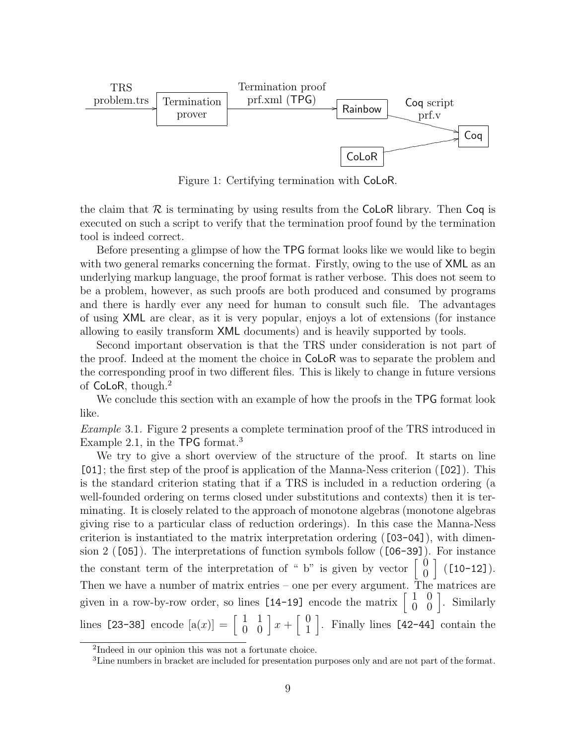

Figure 1: Certifying termination with CoLoR.

the claim that  $\mathcal R$  is terminating by using results from the CoLoR library. Then Coq is executed on such a script to verify that the termination proof found by the termination tool is indeed correct.

Before presenting a glimpse of how the TPG format looks like we would like to begin with two general remarks concerning the format. Firstly, owing to the use of  $XML$  as an underlying markup language, the proof format is rather verbose. This does not seem to be a problem, however, as such proofs are both produced and consumed by programs and there is hardly ever any need for human to consult such file. The advantages of using XML are clear, as it is very popular, enjoys a lot of extensions (for instance allowing to easily transform XML documents) and is heavily supported by tools.

Second important observation is that the TRS under consideration is not part of the proof. Indeed at the moment the choice in CoLoR was to separate the problem and the corresponding proof in two different files. This is likely to change in future versions of CoLoR, though.<sup>2</sup>

We conclude this section with an example of how the proofs in the **TPG** format look like.

Example 3.1. Figure 2 presents a complete termination proof of the TRS introduced in Example 2.1, in the TPG format.<sup>3</sup>

We try to give a short overview of the structure of the proof. It starts on line [01]; the first step of the proof is application of the Manna-Ness criterion ([02]). This is the standard criterion stating that if a TRS is included in a reduction ordering (a well-founded ordering on terms closed under substitutions and contexts) then it is terminating. It is closely related to the approach of monotone algebras (monotone algebras giving rise to a particular class of reduction orderings). In this case the Manna-Ness criterion is instantiated to the matrix interpretation ordering ([03-04]), with dimension 2 ([05]). The interpretations of function symbols follow ([06-39]). For instance the constant term of the interpretation of " b" is given by vector  $\begin{bmatrix} 0 \\ 0 \end{bmatrix}$ 0  $[$  ([10-12]). Then we have a number of matrix entries – one per every argument. The matrices are given in a row-by-row order, so lines  $[14-19]$  encode the matrix  $\begin{bmatrix} 1 & 0 \\ 0 & 0 \end{bmatrix}$ . Similarly lines [23-38] encode  $[a(x)] = \begin{bmatrix} 1 & 1 \\ 0 & 0 \end{bmatrix} x + \begin{bmatrix} 0 \\ 1 \end{bmatrix}$ 1 . Finally lines [42-44] contain the

<sup>2</sup> Indeed in our opinion this was not a fortunate choice.

<sup>3</sup>Line numbers in bracket are included for presentation purposes only and are not part of the format.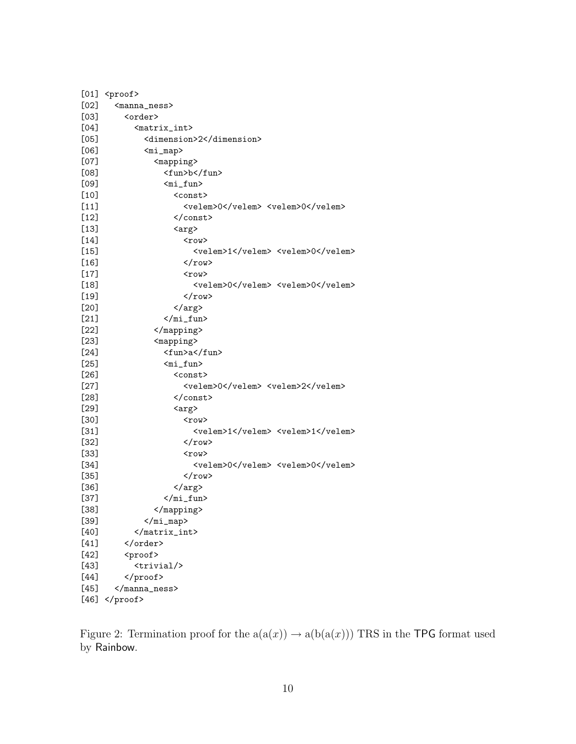|        | $[01]$ <proof></proof>                            |
|--------|---------------------------------------------------|
| [02]   | <manna_ness></manna_ness>                         |
| $[03]$ | <order></order>                                   |
| [04]   | <matrix_int></matrix_int>                         |
| $[05]$ | <dimension>2</dimension>                          |
| [06]   | <mi_map></mi_map>                                 |
| [07]   | <mapping></mapping>                               |
| [08]   | <fun>b</fun>                                      |
| [09]   | <mi_fun></mi_fun>                                 |
| $[10]$ | <const></const>                                   |
| $[11]$ | <velem>0</velem> <velem>0</velem>                 |
| $[12]$ |                                                   |
| $[13]$ | <arg></arg>                                       |
| $[14]$ | <row></row>                                       |
| $[15]$ | <velem>1</velem> <velem>0</velem>                 |
| $[16]$ |                                                   |
| $[17]$ | $<$ row $>$                                       |
| $[18]$ | <velem>0</velem> <velem>0</velem>                 |
| $[19]$ | $\langle$ /row>                                   |
| $[20]$ |                                                   |
| $[21]$ | $\frac{\gamma_{\text{min}}}{\gamma_{\text{min}}}$ |
| $[22]$ |                                                   |
| $[23]$ | <mapping></mapping>                               |
| $[24]$ | <fun>a</fun>                                      |
| $[25]$ | <mi_fun></mi_fun>                                 |
| $[26]$ | <const></const>                                   |
| $[27]$ | <velem>0</velem> <velem>2</velem>                 |
| $[28]$ |                                                   |
| $[29]$ | <arg></arg>                                       |
| [30]   | <row></row>                                       |
| $[31]$ | <velem>1</velem> <velem>1</velem>                 |
| $[32]$ |                                                   |
| $[33]$ | <row></row>                                       |
| $[34]$ | <velem>O</velem> <velem>O</velem>                 |
| $[35]$ | $\langle$ /row>                                   |
| $[36]$ |                                                   |
| $[37]$ | $\frac{\gamma_{\text{min}}}{\gamma_{\text{min}}}$ |
| $[38]$ |                                                   |
| $[39]$ |                                                   |
| [40]   |                                                   |
| $[41]$ |                                                   |
| $[42]$ | <proof></proof>                                   |
| $[43]$ | <trivial></trivial>                               |
| $[44]$ |                                                   |
| $[45]$ |                                                   |
| $[46]$ |                                                   |

Figure 2: Termination proof for the  $a(a(x)) \rightarrow a(b(a(x)))$  TRS in the TPG format used<br>by Painhau by Rainbow.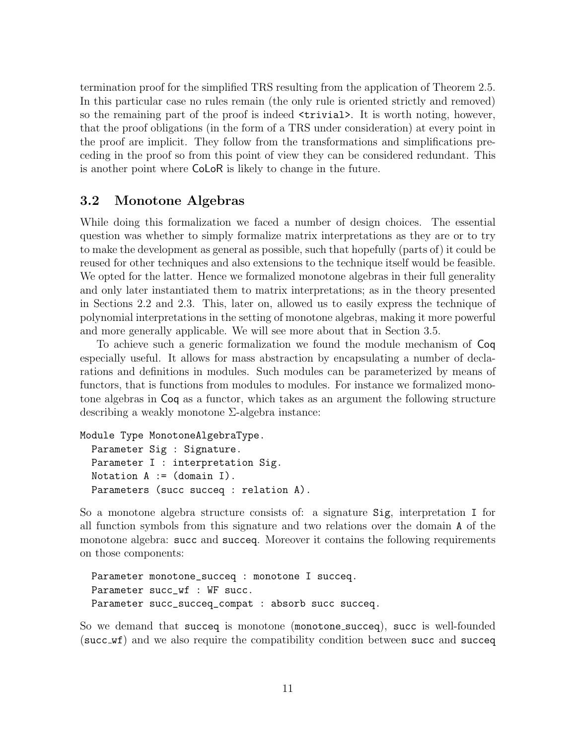termination proof for the simplified TRS resulting from the application of Theorem 2.5. In this particular case no rules remain (the only rule is oriented strictly and removed) so the remaining part of the proof is indeed  $\langle$ trivial>. It is worth noting, however, that the proof obligations (in the form of a TRS under consideration) at every point in the proof are implicit. They follow from the transformations and simplifications preceding in the proof so from this point of view they can be considered redundant. This is another point where CoLoR is likely to change in the future.

### 3.2 Monotone Algebras

While doing this formalization we faced a number of design choices. The essential question was whether to simply formalize matrix interpretations as they are or to try to make the development as general as possible, such that hopefully (parts of) it could be reused for other techniques and also extensions to the technique itself would be feasible. We opted for the latter. Hence we formalized monotone algebras in their full generality and only later instantiated them to matrix interpretations; as in the theory presented in Sections 2.2 and 2.3. This, later on, allowed us to easily express the technique of polynomial interpretations in the setting of monotone algebras, making it more powerful and more generally applicable. We will see more about that in Section 3.5.

To achieve such a generic formalization we found the module mechanism of Coq especially useful. It allows for mass abstraction by encapsulating a number of declarations and definitions in modules. Such modules can be parameterized by means of functors, that is functions from modules to modules. For instance we formalized monotone algebras in Coq as a functor, which takes as an argument the following structure describing a weakly monotone Σ-algebra instance:

```
Module Type MonotoneAlgebraType.
  Parameter Sig : Signature.
  Parameter I : interpretation Sig.
  Notation A := (domain I).
  Parameters (succ succeq : relation A).
```
So a monotone algebra structure consists of: a signature Sig, interpretation I for all function symbols from this signature and two relations over the domain A of the monotone algebra: succ and succeq. Moreover it contains the following requirements on those components:

```
Parameter monotone_succeq : monotone I succeq.
Parameter succ_wf : WF succ.
Parameter succ_succeq_compat : absorb succ succeq.
```
So we demand that succeq is monotone (monotone succeq), succ is well-founded (succ wf) and we also require the compatibility condition between succ and succeq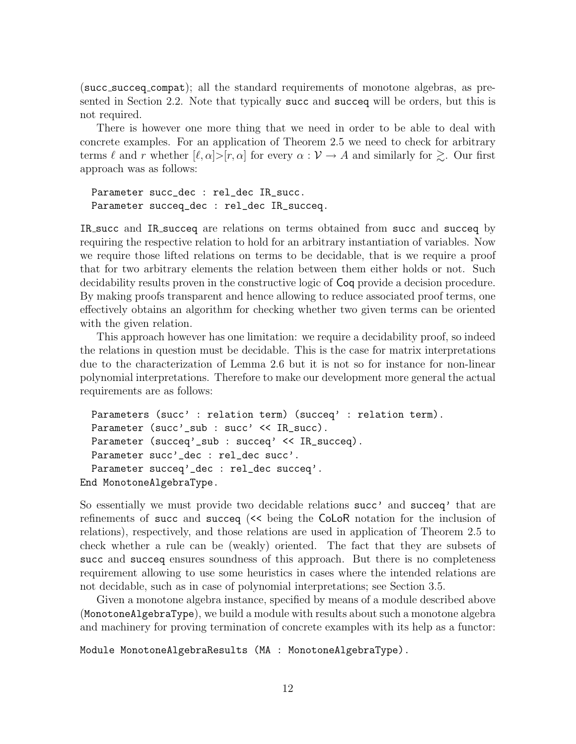(succ succeq compat); all the standard requirements of monotone algebras, as presented in Section 2.2. Note that typically succ and succeq will be orders, but this is not required.

There is however one more thing that we need in order to be able to deal with concrete examples. For an application of Theorem 2.5 we need to check for arbitrary terms  $\ell$  and r whether  $[\ell, \alpha] > [r, \alpha]$  for every  $\alpha : \mathcal{V} \to A$  and similarly for  $\gtrsim$ . Our first approach was as follows:

Parameter succ\_dec : rel\_dec IR\_succ. Parameter succeq\_dec : rel\_dec IR\_succeq.

IR succ and IR succeq are relations on terms obtained from succ and succeq by requiring the respective relation to hold for an arbitrary instantiation of variables. Now we require those lifted relations on terms to be decidable, that is we require a proof that for two arbitrary elements the relation between them either holds or not. Such decidability results proven in the constructive logic of Coq provide a decision procedure. By making proofs transparent and hence allowing to reduce associated proof terms, one effectively obtains an algorithm for checking whether two given terms can be oriented with the given relation.

This approach however has one limitation: we require a decidability proof, so indeed the relations in question must be decidable. This is the case for matrix interpretations due to the characterization of Lemma 2.6 but it is not so for instance for non-linear polynomial interpretations. Therefore to make our development more general the actual requirements are as follows:

```
Parameters (succ': relation term) (succeq': relation term).
 Parameter (succ'_sub : succ' << IR_succ).
 Parameter (succeq'_sub : succeq' << IR_succeq).
 Parameter succ'_dec : rel_dec succ'.
 Parameter succeq'_dec : rel_dec succeq'.
End MonotoneAlgebraType.
```
So essentially we must provide two decidable relations succ' and succeq' that are refinements of succ and succeq (<< being the CoLoR notation for the inclusion of relations), respectively, and those relations are used in application of Theorem 2.5 to check whether a rule can be (weakly) oriented. The fact that they are subsets of succ and succeq ensures soundness of this approach. But there is no completeness requirement allowing to use some heuristics in cases where the intended relations are not decidable, such as in case of polynomial interpretations; see Section 3.5.

Given a monotone algebra instance, specified by means of a module described above (MonotoneAlgebraType), we build a module with results about such a monotone algebra and machinery for proving termination of concrete examples with its help as a functor:

Module MonotoneAlgebraResults (MA : MonotoneAlgebraType).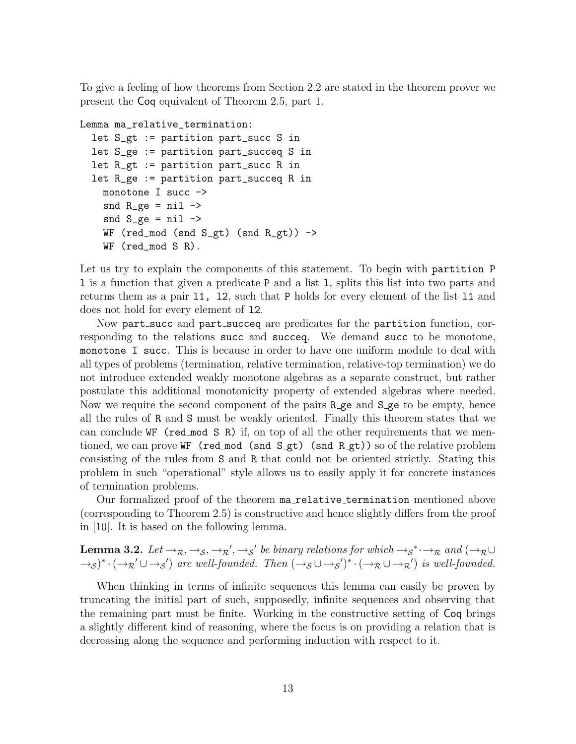To give a feeling of how theorems from Section 2.2 are stated in the theorem prover we present the Coq equivalent of Theorem 2.5, part 1.

```
Lemma ma_relative_termination:
```

```
let S_gt := partition part_succ S in
let S_ge := partition part_succeq S in
let R_gt := partition part_succ R in
let R_ge := partition part_succeq R in
  monotone I succ ->
  snd R_{ge} = nil \rightarrowsnd S_{\text{g}}e = \text{nil} \rightarrowWF (red_mod (snd S_gt) (snd R_gt)) ->
  WF (red_mod S R).
```
Let us try to explain the components of this statement. To begin with partition P l is a function that given a predicate P and a list l, splits this list into two parts and returns them as a pair l1, l2, such that P holds for every element of the list l1 and does not hold for every element of l2.

Now part succ and part succeq are predicates for the partition function, corresponding to the relations succ and succeq. We demand succ to be monotone, monotone I succ. This is because in order to have one uniform module to deal with all types of problems (termination, relative termination, relative-top termination) we do not introduce extended weakly monotone algebras as a separate construct, but rather postulate this additional monotonicity property of extended algebras where needed. Now we require the second component of the pairs R ge and S ge to be empty, hence all the rules of R and S must be weakly oriented. Finally this theorem states that we can conclude WF (red mod S R) if, on top of all the other requirements that we mentioned, we can prove WF (red mod (snd  $S_g$ t) (snd  $R_g$ t)) so of the relative problem consisting of the rules from S and R that could not be oriented strictly. Stating this problem in such "operational" style allows us to easily apply it for concrete instances of termination problems.

Our formalized proof of the theorem ma relative termination mentioned above (corresponding to Theorem 2.5) is constructive and hence slightly differs from the proof in [10]. It is based on the following lemma.

**Lemma 3.2.** Let  $\rightarrow_R, \rightarrow_S, \rightarrow_R', \rightarrow_S'$  be binary relations for which  $\rightarrow_S^* \rightarrow_R$  and  $(\rightarrow_R \cup$  $\rightarrow$ s)<sup>\*</sup> · ( $\rightarrow$ <sub>R</sub>' $\cup$  $\rightarrow$ s') are well-founded. Then ( $\rightarrow$ s $\cup$  $\rightarrow$ s')<sup>\*</sup> · ( $\rightarrow$ <sub>R</sub> $\cup$  $\rightarrow$ <sub>R</sub>') is well-founded.

When thinking in terms of infinite sequences this lemma can easily be proven by truncating the initial part of such, supposedly, infinite sequences and observing that the remaining part must be finite. Working in the constructive setting of Coq brings a slightly different kind of reasoning, where the focus is on providing a relation that is decreasing along the sequence and performing induction with respect to it.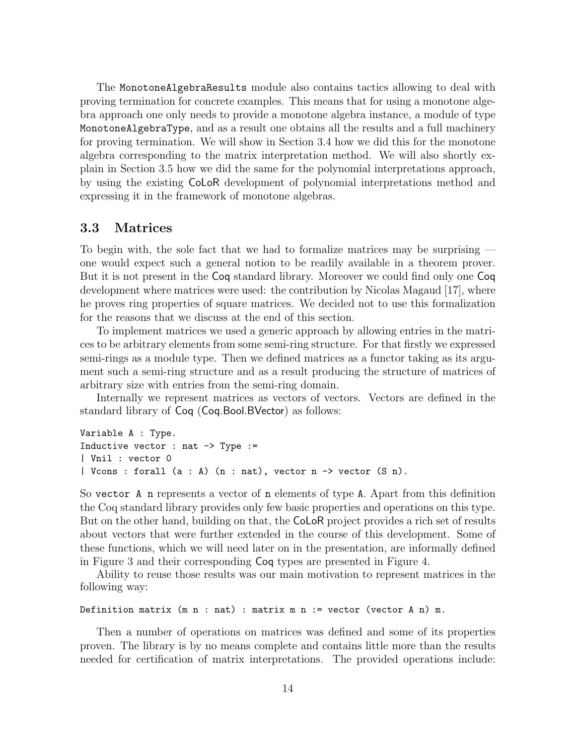The MonotoneAlgebraResults module also contains tactics allowing to deal with proving termination for concrete examples. This means that for using a monotone algebra approach one only needs to provide a monotone algebra instance, a module of type MonotoneAlgebraType, and as a result one obtains all the results and a full machinery for proving termination. We will show in Section 3.4 how we did this for the monotone algebra corresponding to the matrix interpretation method. We will also shortly explain in Section 3.5 how we did the same for the polynomial interpretations approach, by using the existing CoLoR development of polynomial interpretations method and expressing it in the framework of monotone algebras.

#### 3.3 Matrices

To begin with, the sole fact that we had to formalize matrices may be surprising one would expect such a general notion to be readily available in a theorem prover. But it is not present in the Coq standard library. Moreover we could find only one Coq development where matrices were used: the contribution by Nicolas Magaud [17], where he proves ring properties of square matrices. We decided not to use this formalization for the reasons that we discuss at the end of this section.

To implement matrices we used a generic approach by allowing entries in the matrices to be arbitrary elements from some semi-ring structure. For that firstly we expressed semi-rings as a module type. Then we defined matrices as a functor taking as its argument such a semi-ring structure and as a result producing the structure of matrices of arbitrary size with entries from the semi-ring domain.

Internally we represent matrices as vectors of vectors. Vectors are defined in the standard library of Coq (Coq.Bool.BVector) as follows:

```
Variable A : Type.
Inductive vector : nat \rightarrow Type :=
| Vnil : vector 0
| Vcons : forall (a : A) (n : nat), vector n -> vector (S n).
```
So vector A n represents a vector of n elements of type A. Apart from this definition the Coq standard library provides only few basic properties and operations on this type. But on the other hand, building on that, the CoLoR project provides a rich set of results about vectors that were further extended in the course of this development. Some of these functions, which we will need later on in the presentation, are informally defined in Figure 3 and their corresponding Coq types are presented in Figure 4.

Ability to reuse those results was our main motivation to represent matrices in the following way:

```
Definition matrix (m n : nat) : matrix m n := vector (vector A n) m.
```
Then a number of operations on matrices was defined and some of its properties proven. The library is by no means complete and contains little more than the results needed for certification of matrix interpretations. The provided operations include: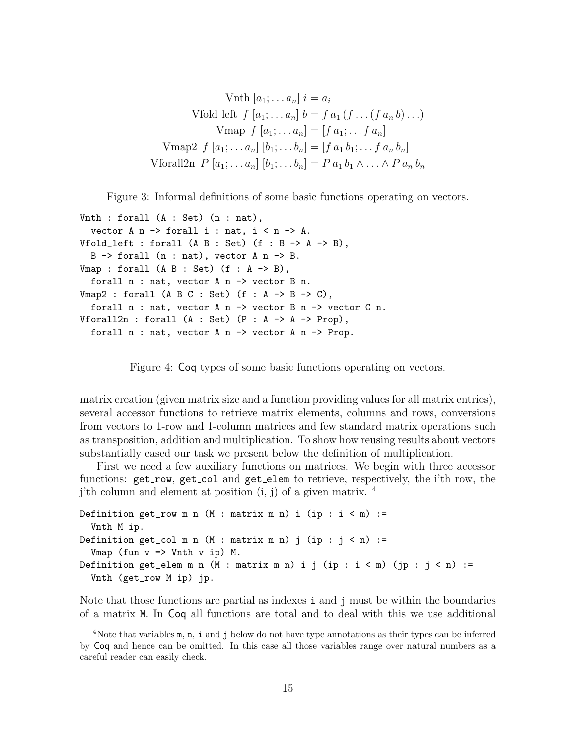Vnth  $[a_1; \ldots a_n]$   $i = a_i$ Vfold left  $f [a_1; \ldots a_n] b = f a_1 (f \ldots (f a_n b) \ldots)$ Vmap  $f [a_1; \ldots a_n] = [f a_1; \ldots f a_n]$ Vmap2  $f [a_1; \ldots a_n] [b_1; \ldots b_n] = [f a_1 b_1; \ldots f a_n b_n]$ Vforall2n  $P [a_1; ... a_n] [b_1; ... b_n] = P a_1 b_1 \wedge ... \wedge P a_n b_n$ 

Figure 3: Informal definitions of some basic functions operating on vectors.

```
Vnth : forall (A : Set) (n : nat),
  vector A n \rightarrow forall i : nat, i < n \rightarrow A.
Vfold_left : forall (A \ B : Set) (f : B \rightarrow A \rightarrow B),
  B \rightarrow forall (n : nat), vector A n \rightarrow B.
Vmap : forall (A \ B : Set) (f : A \rightarrow B),
  forall n : nat, vector A n \rightarrow vector B n.
Vmap2 : forall (A \ B \ C \ : \ Set) (f \ : A \rightarrow B \rightarrow C),
  forall n : nat, vector A n -> vector B n -> vector C n.
Vforall2n : forall (A : Set) (P : A \rightarrow A \rightarrow Prop),
  forall n : nat, vector A n \rightarrow vector A n \rightarrow Prop.
```

```
Figure 4: Coq types of some basic functions operating on vectors.
```
matrix creation (given matrix size and a function providing values for all matrix entries), several accessor functions to retrieve matrix elements, columns and rows, conversions from vectors to 1-row and 1-column matrices and few standard matrix operations such as transposition, addition and multiplication. To show how reusing results about vectors substantially eased our task we present below the definition of multiplication.

First we need a few auxiliary functions on matrices. We begin with three accessor functions:  $get\_row$ ,  $get\_col$  and  $get\_elem$  to retrieve, respectively, the i'th row, the j'th column and element at position  $(i, j)$  of a given matrix.  $4$ 

```
Definition get_row m n (M : matrix m n) i (ip : i < m) :=
  Vnth M ip.
Definition get_col m n (M : matrix m n) j (ip : j < n) :=
  Vmap (fun v \Rightarrow Vnth v ip) M.
Definition get_elem m n (M : matrix m n) i j (ip : i < m) (jp : j < n) :=
  Vnth (get_row M ip) jp.
```
Note that those functions are partial as indexes i and j must be within the boundaries of a matrix M. In Coq all functions are total and to deal with this we use additional

<sup>&</sup>lt;sup>4</sup>Note that variables  $m$ ,  $n$ , i and j below do not have type annotations as their types can be inferred by Coq and hence can be omitted. In this case all those variables range over natural numbers as a careful reader can easily check.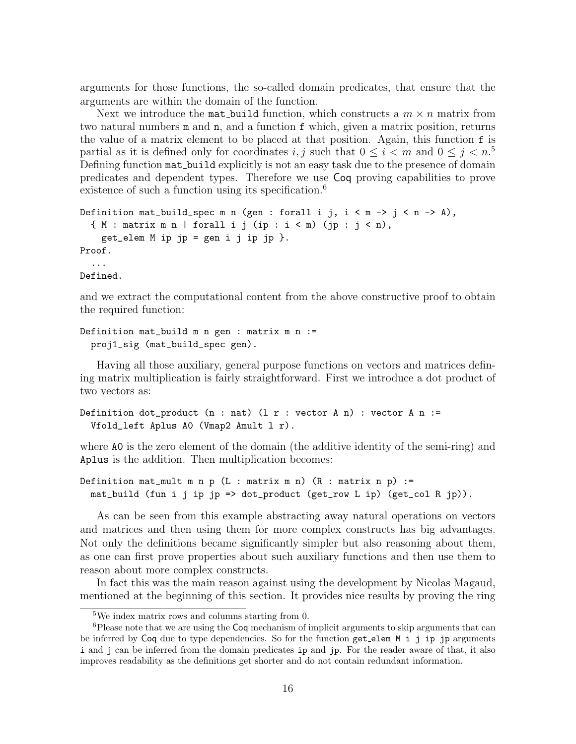arguments for those functions, the so-called domain predicates, that ensure that the arguments are within the domain of the function.

Next we introduce the mat-build function, which constructs a  $m \times n$  matrix from two natural numbers m and n, and a function f which, given a matrix position, returns the value of a matrix element to be placed at that position. Again, this function f is partial as it is defined only for coordinates i, j such that  $0 \leq i < m$  and  $0 \leq j < n$ .<sup>5</sup> Defining function mat build explicitly is not an easy task due to the presence of domain predicates and dependent types. Therefore we use Coq proving capabilities to prove existence of such a function using its specification.<sup>6</sup>

```
Definition mat_build_spec m n (gen : forall i j, i < m -> j < n -> A),
  {M : matrix m n | forall i j (ip : i < m) (jp : j < n),
    get_elem M ip jp = gen i j ip jp }.
Proof.
  ...
Defined.
```
and we extract the computational content from the above constructive proof to obtain the required function:

```
Definition mat_build m n gen : matrix m n :=
  proj1_sig (mat_build_spec gen).
```
Having all those auxiliary, general purpose functions on vectors and matrices defining matrix multiplication is fairly straightforward. First we introduce a dot product of two vectors as:

```
Definition dot_product (n : nat) (l r : vector A n) : vector A n :=
  Vfold_left Aplus A0 (Vmap2 Amult l r).
```
where A0 is the zero element of the domain (the additive identity of the semi-ring) and Aplus is the addition. Then multiplication becomes:

```
Definition mat_mult m n p (L : matrix m n) (R : matrix n p) :=
  mat_build (fun i j ip jp => dot_product (get_row L ip) (get_col R jp)).
```
As can be seen from this example abstracting away natural operations on vectors and matrices and then using them for more complex constructs has big advantages. Not only the definitions became significantly simpler but also reasoning about them, as one can first prove properties about such auxiliary functions and then use them to reason about more complex constructs.

In fact this was the main reason against using the development by Nicolas Magaud, mentioned at the beginning of this section. It provides nice results by proving the ring

<sup>5</sup>We index matrix rows and columns starting from 0.

<sup>&</sup>lt;sup>6</sup>Please note that we are using the Coq mechanism of implicit arguments to skip arguments that can be inferred by Coq due to type dependencies. So for the function get elem M i j ip jp arguments i and j can be inferred from the domain predicates ip and jp. For the reader aware of that, it also improves readability as the definitions get shorter and do not contain redundant information.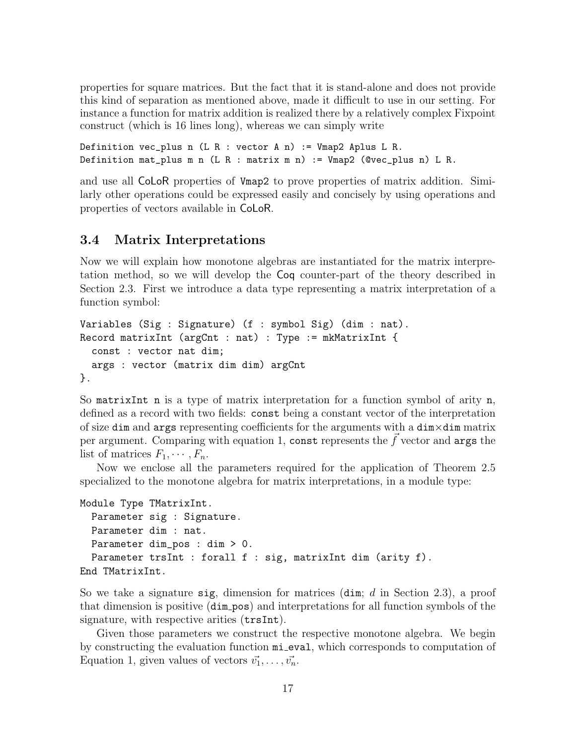properties for square matrices. But the fact that it is stand-alone and does not provide this kind of separation as mentioned above, made it difficult to use in our setting. For instance a function for matrix addition is realized there by a relatively complex Fixpoint construct (which is 16 lines long), whereas we can simply write

Definition vec\_plus n (L R : vector A n) := Vmap2 Aplus L R. Definition mat\_plus m n (L R : matrix m n) := Vmap2 (@vec\_plus n) L R.

and use all CoLoR properties of Vmap2 to prove properties of matrix addition. Similarly other operations could be expressed easily and concisely by using operations and properties of vectors available in CoLoR.

### 3.4 Matrix Interpretations

Now we will explain how monotone algebras are instantiated for the matrix interpretation method, so we will develop the Coq counter-part of the theory described in Section 2.3. First we introduce a data type representing a matrix interpretation of a function symbol:

```
Variables (Sig : Signature) (f : symbol Sig) (dim : nat).
Record matrixInt (argCnt : nat) : Type := mkMatrixInt {
  const : vector nat dim;
  args : vector (matrix dim dim) argCnt
}.
```
So matrixInt n is a type of matrix interpretation for a function symbol of arity n, defined as a record with two fields: const being a constant vector of the interpretation of size dim and args representing coefficients for the arguments with a dim×dim matrix per argument. Comparing with equation 1, const represents the  $\vec{f}$  vector and args the list of matrices  $F_1, \cdots, F_n$ .

Now we enclose all the parameters required for the application of Theorem 2.5 specialized to the monotone algebra for matrix interpretations, in a module type:

```
Module Type TMatrixInt.
  Parameter sig : Signature.
  Parameter dim : nat.
  Parameter dim_pos : dim > 0.
  Parameter trsInt : forall f : sig, matrixInt dim (arity f).
End TMatrixInt.
```
So we take a signature sig, dimension for matrices  $(\text{dim}; d \text{ in Section 2.3}),$  a proof that dimension is positive (dim pos) and interpretations for all function symbols of the signature, with respective arities ( $\text{trsInt}$ ).

Given those parameters we construct the respective monotone algebra. We begin by constructing the evaluation function mi eval, which corresponds to computation of Equation 1, given values of vectors  $\vec{v_1}, \ldots, \vec{v_n}$ .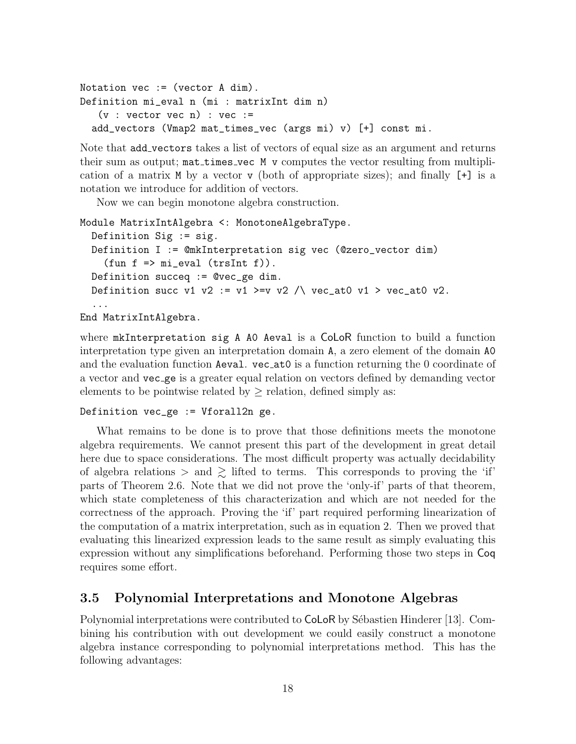```
Notation vec := (vector A dim).
Definition mi_eval n (mi : matrixInt dim n)
   (v : vector vec n) : vec :=add_vectors (Vmap2 mat_times_vec (args mi) v) [+] const mi.
```
Note that add vectors takes a list of vectors of equal size as an argument and returns their sum as output;  $\text{mat_times\_vec}$  M v computes the vector resulting from multiplication of a matrix M by a vector v (both of appropriate sizes); and finally [+] is a notation we introduce for addition of vectors.

Now we can begin monotone algebra construction.

```
Module MatrixIntAlgebra <: MonotoneAlgebraType.
  Definition Sig := sig.
  Definition I := @mkInterpretation sig vec (@zero_vector dim)
    (fun f \Rightarrow mi<sub>eval</sub> (trsInt f).
  Definition succeq := @vec_ge dim.
  Definition succ v1 v2 := v1 >=v v2 /\ vec_at0 v1 > vec_at0 v2.
  ...
```
End MatrixIntAlgebra.

where mkInterpretation sig A A0 Aeval is a CoLoR function to build a function interpretation type given an interpretation domain A, a zero element of the domain A0 and the evaluation function Aeval. vec at0 is a function returning the 0 coordinate of a vector and vec ge is a greater equal relation on vectors defined by demanding vector elements to be pointwise related by  $\geq$  relation, defined simply as:

#### Definition vec\_ge := Vforall2n ge.

What remains to be done is to prove that those definitions meets the monotone algebra requirements. We cannot present this part of the development in great detail here due to space considerations. The most difficult property was actually decidability of algebra relations  $>$  and  $\gtrsim$  lifted to terms. This corresponds to proving the 'if' parts of Theorem 2.6. Note that we did not prove the 'only-if' parts of that theorem, which state completeness of this characterization and which are not needed for the correctness of the approach. Proving the 'if' part required performing linearization of the computation of a matrix interpretation, such as in equation 2. Then we proved that evaluating this linearized expression leads to the same result as simply evaluating this expression without any simplifications beforehand. Performing those two steps in Coq requires some effort.

#### 3.5 Polynomial Interpretations and Monotone Algebras

Polynomial interpretations were contributed to CoLoR by Sébastien Hinderer [13]. Combining his contribution with out development we could easily construct a monotone algebra instance corresponding to polynomial interpretations method. This has the following advantages: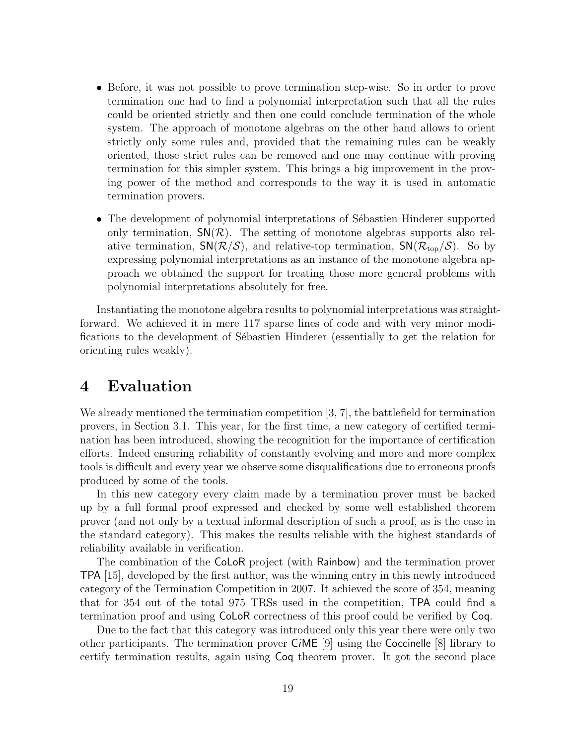- Before, it was not possible to prove termination step-wise. So in order to prove termination one had to find a polynomial interpretation such that all the rules could be oriented strictly and then one could conclude termination of the whole system. The approach of monotone algebras on the other hand allows to orient strictly only some rules and, provided that the remaining rules can be weakly oriented, those strict rules can be removed and one may continue with proving termination for this simpler system. This brings a big improvement in the proving power of the method and corresponds to the way it is used in automatic termination provers.
- The development of polynomial interpretations of Sébastien Hinderer supported only termination,  $SN(\mathcal{R})$ . The setting of monotone algebras supports also relative termination,  $SN(\mathcal{R}/\mathcal{S})$ , and relative-top termination,  $SN(\mathcal{R}_{\text{top}}/\mathcal{S})$ . So by expressing polynomial interpretations as an instance of the monotone algebra approach we obtained the support for treating those more general problems with polynomial interpretations absolutely for free.

Instantiating the monotone algebra results to polynomial interpretations was straightforward. We achieved it in mere 117 sparse lines of code and with very minor modifications to the development of Sébastien Hinderer (essentially to get the relation for orienting rules weakly).

### 4 Evaluation

We already mentioned the termination competition [3, 7], the battlefield for termination provers, in Section 3.1. This year, for the first time, a new category of certified termination has been introduced, showing the recognition for the importance of certification efforts. Indeed ensuring reliability of constantly evolving and more and more complex tools is difficult and every year we observe some disqualifications due to erroneous proofs produced by some of the tools.

In this new category every claim made by a termination prover must be backed up by a full formal proof expressed and checked by some well established theorem prover (and not only by a textual informal description of such a proof, as is the case in the standard category). This makes the results reliable with the highest standards of reliability available in verification.

The combination of the CoLoR project (with Rainbow) and the termination prover TPA [15], developed by the first author, was the winning entry in this newly introduced category of the Termination Competition in 2007. It achieved the score of 354, meaning that for 354 out of the total 975 TRSs used in the competition, TPA could find a termination proof and using CoLoR correctness of this proof could be verified by Coq.

Due to the fact that this category was introduced only this year there were only two other participants. The termination prover CiME [9] using the Coccinelle [8] library to certify termination results, again using Coq theorem prover. It got the second place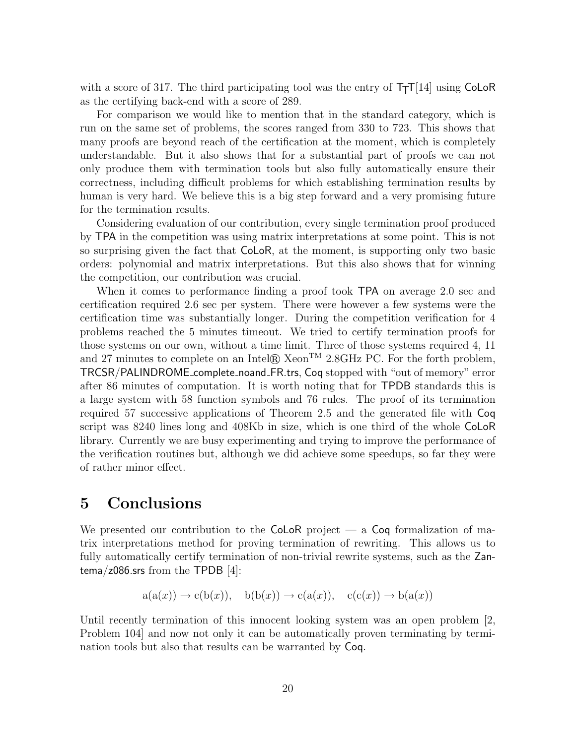with a score of 317. The third participating tool was the entry of  $T_{TT}[14]$  using CoLoR as the certifying back-end with a score of 289.

For comparison we would like to mention that in the standard category, which is run on the same set of problems, the scores ranged from 330 to 723. This shows that many proofs are beyond reach of the certification at the moment, which is completely understandable. But it also shows that for a substantial part of proofs we can not only produce them with termination tools but also fully automatically ensure their correctness, including difficult problems for which establishing termination results by human is very hard. We believe this is a big step forward and a very promising future for the termination results.

Considering evaluation of our contribution, every single termination proof produced by TPA in the competition was using matrix interpretations at some point. This is not so surprising given the fact that CoLoR, at the moment, is supporting only two basic orders: polynomial and matrix interpretations. But this also shows that for winning the competition, our contribution was crucial.

When it comes to performance finding a proof took TPA on average 2.0 sec and certification required 2.6 sec per system. There were however a few systems were the certification time was substantially longer. During the competition verification for 4 problems reached the 5 minutes timeout. We tried to certify termination proofs for those systems on our own, without a time limit. Three of those systems required 4, 11 and 27 minutes to complete on an Intel $\mathbb R$  Xeon<sup>TM</sup> 2.8GHz PC. For the forth problem, TRCSR/PALINDROME complete noand FR.trs, Coq stopped with "out of memory" error after 86 minutes of computation. It is worth noting that for TPDB standards this is a large system with 58 function symbols and 76 rules. The proof of its termination required 57 successive applications of Theorem 2.5 and the generated file with Coq script was 8240 lines long and 408Kb in size, which is one third of the whole CoLoR library. Currently we are busy experimenting and trying to improve the performance of the verification routines but, although we did achieve some speedups, so far they were of rather minor effect.

### 5 Conclusions

We presented our contribution to the  $\mathsf{ColoR}$  project — a  $\mathsf{Coq}$  formalization of matrix interpretations method for proving termination of rewriting. This allows us to fully automatically certify termination of non-trivial rewrite systems, such as the Zantema/z086.srs from the TPDB [4]:

$$
a(a(x)) \rightarrow c(b(x)), b(b(x)) \rightarrow c(a(x)), c(c(x)) \rightarrow b(a(x))
$$

Until recently termination of this innocent looking system was an open problem [2, Problem 104] and now not only it can be automatically proven terminating by termination tools but also that results can be warranted by Coq.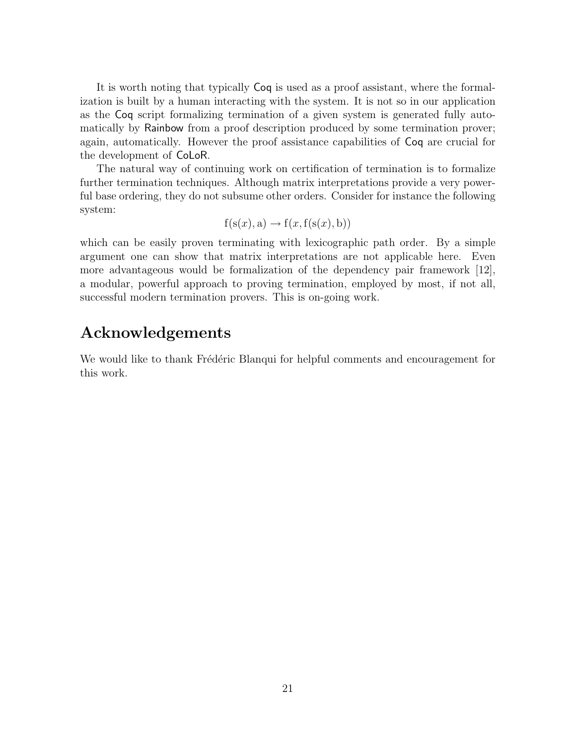It is worth noting that typically Coq is used as a proof assistant, where the formalization is built by a human interacting with the system. It is not so in our application as the Coq script formalizing termination of a given system is generated fully automatically by Rainbow from a proof description produced by some termination prover; again, automatically. However the proof assistance capabilities of Coq are crucial for the development of CoLoR.

The natural way of continuing work on certification of termination is to formalize further termination techniques. Although matrix interpretations provide a very powerful base ordering, they do not subsume other orders. Consider for instance the following system:

$$
f(s(x), a) \rightarrow f(x, f(s(x), b))
$$

which can be easily proven terminating with lexicographic path order. By a simple argument one can show that matrix interpretations are not applicable here. Even more advantageous would be formalization of the dependency pair framework [12], a modular, powerful approach to proving termination, employed by most, if not all, successful modern termination provers. This is on-going work.

### Acknowledgements

We would like to thank Frédéric Blanqui for helpful comments and encouragement for this work.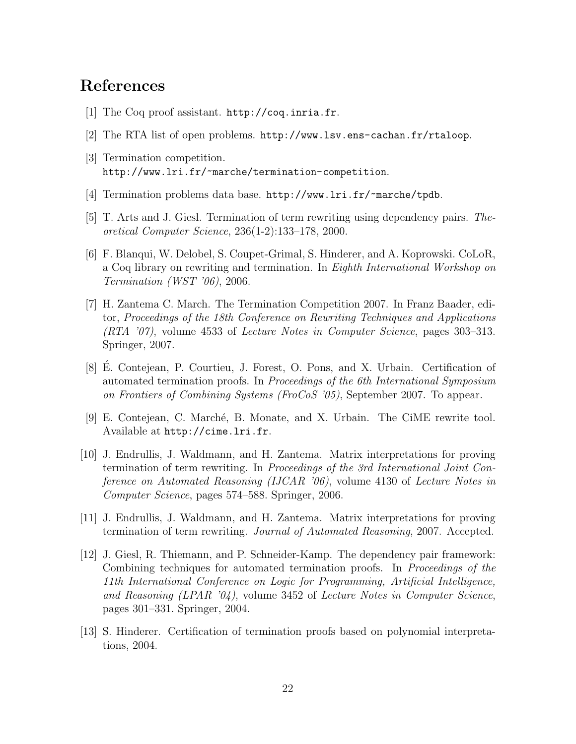### References

- [1] The Coq proof assistant. http://coq.inria.fr.
- [2] The RTA list of open problems. http://www.lsv.ens-cachan.fr/rtaloop.
- [3] Termination competition. http://www.lri.fr/~marche/termination-competition.
- [4] Termination problems data base. http://www.lri.fr/~marche/tpdb.
- [5] T. Arts and J. Giesl. Termination of term rewriting using dependency pairs. Theoretical Computer Science, 236(1-2):133–178, 2000.
- [6] F. Blanqui, W. Delobel, S. Coupet-Grimal, S. Hinderer, and A. Koprowski. CoLoR, a Coq library on rewriting and termination. In Eighth International Workshop on Termination (WST '06), 2006.
- [7] H. Zantema C. March. The Termination Competition 2007. In Franz Baader, editor, Proceedings of the 18th Conference on Rewriting Techniques and Applications (RTA '07), volume 4533 of Lecture Notes in Computer Science, pages 303–313. Springer, 2007.
- [8] E. Contejean, P. Courtieu, J. Forest, O. Pons, and X. Urbain. Certification of ´ automated termination proofs. In Proceedings of the 6th International Symposium on Frontiers of Combining Systems (FroCoS '05), September 2007. To appear.
- [9] E. Contejean, C. March´e, B. Monate, and X. Urbain. The CiME rewrite tool. Available at http://cime.lri.fr.
- [10] J. Endrullis, J. Waldmann, and H. Zantema. Matrix interpretations for proving termination of term rewriting. In Proceedings of the 3rd International Joint Conference on Automated Reasoning (IJCAR '06), volume 4130 of Lecture Notes in Computer Science, pages 574–588. Springer, 2006.
- [11] J. Endrullis, J. Waldmann, and H. Zantema. Matrix interpretations for proving termination of term rewriting. Journal of Automated Reasoning, 2007. Accepted.
- [12] J. Giesl, R. Thiemann, and P. Schneider-Kamp. The dependency pair framework: Combining techniques for automated termination proofs. In Proceedings of the 11th International Conference on Logic for Programming, Artificial Intelligence, and Reasoning (LPAR  $'04$ ), volume 3452 of Lecture Notes in Computer Science, pages 301–331. Springer, 2004.
- [13] S. Hinderer. Certification of termination proofs based on polynomial interpretations, 2004.